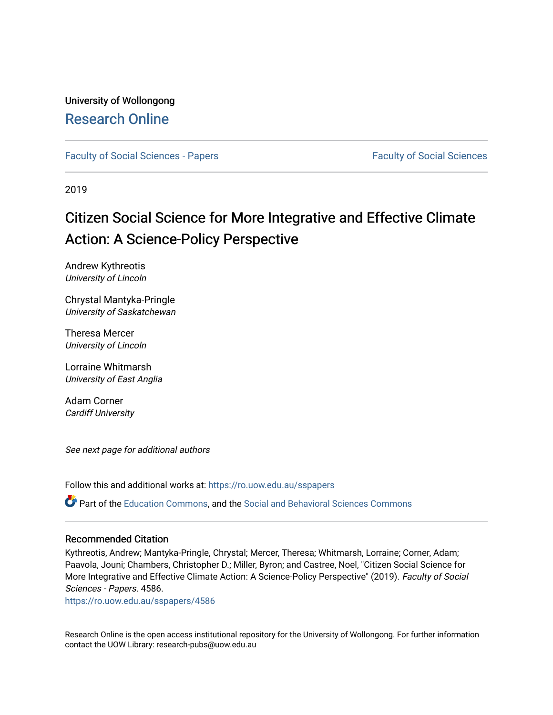# University of Wollongong [Research Online](https://ro.uow.edu.au/)

[Faculty of Social Sciences - Papers](https://ro.uow.edu.au/sspapers) [Faculty of Social Sciences](https://ro.uow.edu.au/ss) Faculty of Social Sciences

2019

# Citizen Social Science for More Integrative and Effective Climate Action: A Science-Policy Perspective

Andrew Kythreotis University of Lincoln

Chrystal Mantyka-Pringle University of Saskatchewan

Theresa Mercer University of Lincoln

Lorraine Whitmarsh University of East Anglia

Adam Corner Cardiff University

See next page for additional authors

Follow this and additional works at: [https://ro.uow.edu.au/sspapers](https://ro.uow.edu.au/sspapers?utm_source=ro.uow.edu.au%2Fsspapers%2F4586&utm_medium=PDF&utm_campaign=PDFCoverPages) 

Part of the [Education Commons](http://network.bepress.com/hgg/discipline/784?utm_source=ro.uow.edu.au%2Fsspapers%2F4586&utm_medium=PDF&utm_campaign=PDFCoverPages), and the [Social and Behavioral Sciences Commons](http://network.bepress.com/hgg/discipline/316?utm_source=ro.uow.edu.au%2Fsspapers%2F4586&utm_medium=PDF&utm_campaign=PDFCoverPages) 

#### Recommended Citation

Kythreotis, Andrew; Mantyka-Pringle, Chrystal; Mercer, Theresa; Whitmarsh, Lorraine; Corner, Adam; Paavola, Jouni; Chambers, Christopher D.; Miller, Byron; and Castree, Noel, "Citizen Social Science for More Integrative and Effective Climate Action: A Science-Policy Perspective" (2019). Faculty of Social Sciences - Papers. 4586.

[https://ro.uow.edu.au/sspapers/4586](https://ro.uow.edu.au/sspapers/4586?utm_source=ro.uow.edu.au%2Fsspapers%2F4586&utm_medium=PDF&utm_campaign=PDFCoverPages)

Research Online is the open access institutional repository for the University of Wollongong. For further information contact the UOW Library: research-pubs@uow.edu.au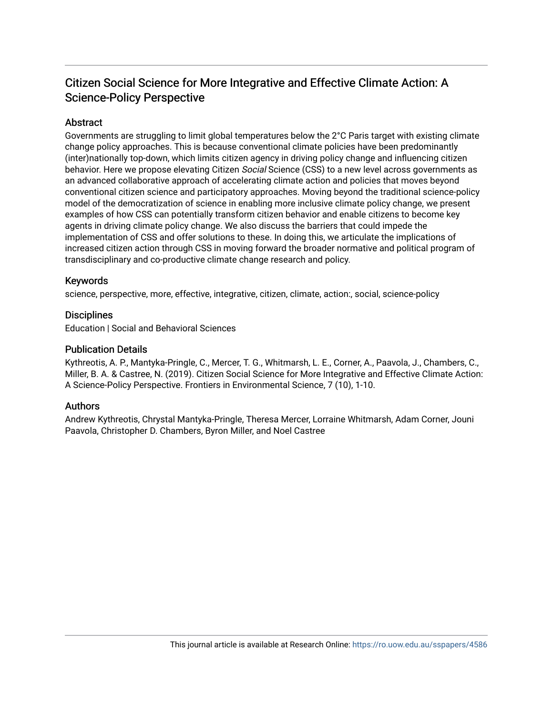# Citizen Social Science for More Integrative and Effective Climate Action: A Science-Policy Perspective

# **Abstract**

Governments are struggling to limit global temperatures below the 2°C Paris target with existing climate change policy approaches. This is because conventional climate policies have been predominantly (inter)nationally top-down, which limits citizen agency in driving policy change and influencing citizen behavior. Here we propose elevating Citizen Social Science (CSS) to a new level across governments as an advanced collaborative approach of accelerating climate action and policies that moves beyond conventional citizen science and participatory approaches. Moving beyond the traditional science-policy model of the democratization of science in enabling more inclusive climate policy change, we present examples of how CSS can potentially transform citizen behavior and enable citizens to become key agents in driving climate policy change. We also discuss the barriers that could impede the implementation of CSS and offer solutions to these. In doing this, we articulate the implications of increased citizen action through CSS in moving forward the broader normative and political program of transdisciplinary and co-productive climate change research and policy.

# Keywords

science, perspective, more, effective, integrative, citizen, climate, action:, social, science-policy

#### **Disciplines**

Education | Social and Behavioral Sciences

#### Publication Details

Kythreotis, A. P., Mantyka-Pringle, C., Mercer, T. G., Whitmarsh, L. E., Corner, A., Paavola, J., Chambers, C., Miller, B. A. & Castree, N. (2019). Citizen Social Science for More Integrative and Effective Climate Action: A Science-Policy Perspective. Frontiers in Environmental Science, 7 (10), 1-10.

# Authors

Andrew Kythreotis, Chrystal Mantyka-Pringle, Theresa Mercer, Lorraine Whitmarsh, Adam Corner, Jouni Paavola, Christopher D. Chambers, Byron Miller, and Noel Castree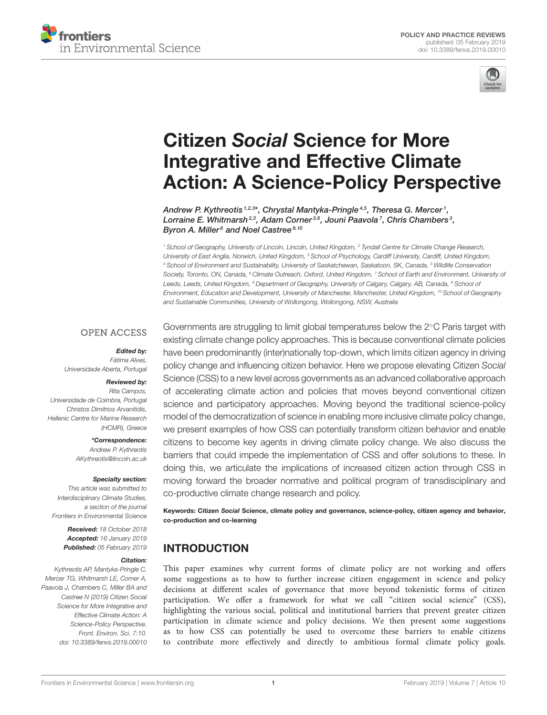



# Citizen Social Science for More Integrative and Effective Climate [Action: A Science-Policy Perspective](https://www.frontiersin.org/articles/10.3389/fenvs.2019.00010/full)

[Andrew P. Kythreotis](http://loop.frontiersin.org/people/244227/overview) 1,2,3\*, Chrystal Mantyka-Pringle <sup>4,5</sup>, [Theresa G. Mercer](http://loop.frontiersin.org/people/614841/overview) <sup>1</sup>, [Lorraine E. Whitmarsh](http://loop.frontiersin.org/people/492670/overview)<sup>2,3</sup>, [Adam Corner](http://loop.frontiersin.org/people/676236/overview)<sup>3,6</sup>, [Jouni Paavola](http://loop.frontiersin.org/people/671901/overview)<sup>7</sup>, [Chris Chambers](http://loop.frontiersin.org/people/51758/overview)<sup>3</sup>, [Byron A. Miller](http://loop.frontiersin.org/people/623572/overview)<sup>8</sup> and [Noel Castree](http://loop.frontiersin.org/people/676237/overview)<sup>9,10</sup>

<sup>1</sup> School of Geography, University of Lincoln, Lincoln, United Kingdom, <sup>2</sup> Tyndall Centre for Climate Change Research, University of East Anglia, Norwich, United Kingdom, <sup>3</sup> School of Psychology, Cardiff University, Cardiff, United Kingdom, <sup>4</sup> School of Environment and Sustainability, University of Saskatchewan, Saskatoon, SK, Canada, <sup>5</sup> Wildlife Conservation Society, Toronto, ON, Canada, <sup>6</sup> Climate Outreach, Oxford, United Kingdom, <sup>7</sup> School of Earth and Environment, University of Leeds, Leeds, United Kingdom, <sup>8</sup> Department of Geography, University of Calgary, Calgary, AB, Canada, <sup>9</sup> School of Environment, Education and Development, University of Manchester, Manchester, United Kingdom, <sup>10</sup> School of Geography and Sustainable Communities, University of Wollongong, Wollongong, NSW, Australia

#### **OPEN ACCESS**

Edited by: Fátima Alves, Universidade Aberta, Portugal

#### Reviewed by:

Rita Campos, Universidade de Coimbra, Portugal Christos Dimitrios Arvanitidis, Hellenic Centre for Marine Research (HCMR), Greece

> \*Correspondence: Andrew P. Kythreotis [AKythreotis@lincoln.ac.uk](mailto:AKythreotis@lincoln.ac.uk)

#### Specialty section:

This article was submitted to Interdisciplinary Climate Studies, a section of the journal Frontiers in Environmental Science

> Received: 18 October 2018 Accepted: 16 January 2019 Published: 05 February 2019

#### Citation:

Kythreotis AP, Mantyka-Pringle C, Mercer TG, Whitmarsh LE, Corner A, Paavola J, Chambers C, Miller BA and Castree N (2019) Citizen Social Science for More Integrative and Effective Climate Action: A Science-Policy Perspective. Front. Environ. Sci. 7:10. doi: [10.3389/fenvs.2019.00010](https://doi.org/10.3389/fenvs.2019.00010)

Governments are struggling to limit global temperatures below the 2◦C Paris target with existing climate change policy approaches. This is because conventional climate policies have been predominantly (inter)nationally top-down, which limits citizen agency in driving policy change and influencing citizen behavior. Here we propose elevating Citizen Social Science (CSS) to a new level across governments as an advanced collaborative approach of accelerating climate action and policies that moves beyond conventional citizen science and participatory approaches. Moving beyond the traditional science-policy model of the democratization of science in enabling more inclusive climate policy change, we present examples of how CSS can potentially transform citizen behavior and enable citizens to become key agents in driving climate policy change. We also discuss the barriers that could impede the implementation of CSS and offer solutions to these. In doing this, we articulate the implications of increased citizen action through CSS in moving forward the broader normative and political program of transdisciplinary and co-productive climate change research and policy.

Keywords: Citizen Social Science, climate policy and governance, science-policy, citizen agency and behavior, co-production and co-learning

# INTRODUCTION

This paper examines why current forms of climate policy are not working and offers some suggestions as to how to further increase citizen engagement in science and policy decisions at different scales of governance that move beyond tokenistic forms of citizen participation. We offer a framework for what we call "citizen social science" (CSS), highlighting the various social, political and institutional barriers that prevent greater citizen participation in climate science and policy decisions. We then present some suggestions as to how CSS can potentially be used to overcome these barriers to enable citizens to contribute more effectively and directly to ambitious formal climate policy goals.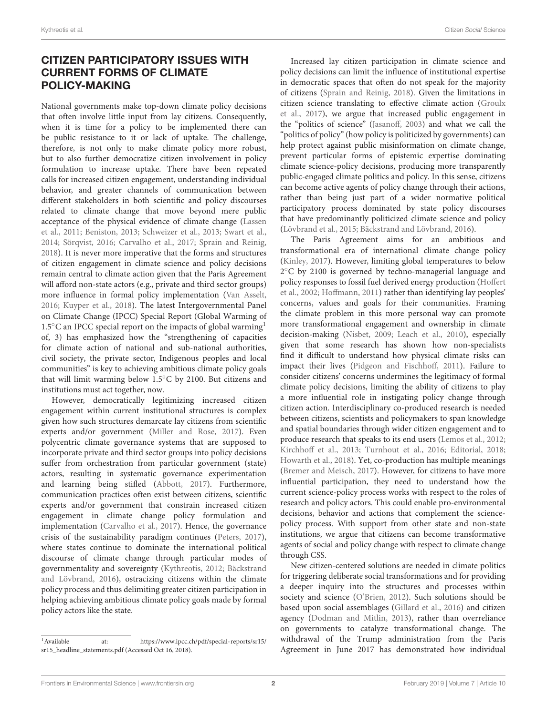# CITIZEN PARTICIPATORY ISSUES WITH CURRENT FORMS OF CLIMATE POLICY-MAKING

National governments make top-down climate policy decisions that often involve little input from lay citizens. Consequently, when it is time for a policy to be implemented there can be public resistance to it or lack of uptake. The challenge, therefore, is not only to make climate policy more robust, but to also further democratize citizen involvement in policy formulation to increase uptake. There have been repeated calls for increased citizen engagement, understanding individual behavior, and greater channels of communication between different stakeholders in both scientific and policy discourses related to climate change that move beyond mere public acceptance of the physical evidence of climate change (Lassen et al., [2011;](#page-10-0) [Beniston, 2013;](#page-9-0) [Schweizer et al., 2013;](#page-11-0) [Swart et al.,](#page-11-1) [2014;](#page-11-1) [Sörqvist, 2016;](#page-11-2) [Carvalho et al., 2017;](#page-9-1) [Sprain and Reinig,](#page-11-3) [2018\)](#page-11-3). It is never more imperative that the forms and structures of citizen engagement in climate science and policy decisions remain central to climate action given that the Paris Agreement will afford non-state actors (e.g., private and third sector groups) more influence in formal policy implementation [\(Van Asselt,](#page-11-4) [2016;](#page-11-4) [Kuyper et al., 2018\)](#page-10-1). The latest Intergovernmental Panel on Climate Change (IPCC) Special Report (Global Warming of [1](#page-3-0).5℃ an IPCC special report on the impacts of global warming<sup>1</sup> of, 3) has emphasized how the "strengthening of capacities for climate action of national and sub-national authorities, civil society, the private sector, Indigenous peoples and local communities" is key to achieving ambitious climate policy goals that will limit warming below 1.5◦C by 2100. But citizens and institutions must act together, now.

However, democratically legitimizing increased citizen engagement within current institutional structures is complex given how such structures demarcate lay citizens from scientific experts and/or government [\(Miller and Rose, 2017\)](#page-11-5). Even polycentric climate governance systems that are supposed to incorporate private and third sector groups into policy decisions suffer from orchestration from particular government (state) actors, resulting in systematic governance experimentation and learning being stifled [\(Abbott, 2017\)](#page-9-2). Furthermore, communication practices often exist between citizens, scientific experts and/or government that constrain increased citizen engagement in climate change policy formulation and implementation [\(Carvalho et al., 2017\)](#page-9-1). Hence, the governance crisis of the sustainability paradigm continues [\(Peters, 2017\)](#page-11-6), where states continue to dominate the international political discourse of climate change through particular modes of governmentality and sovereignty [\(Kythreotis, 2012;](#page-10-2) Bäckstrand and Lövbrand, [2016\)](#page-9-3), ostracizing citizens within the climate policy process and thus delimiting greater citizen participation in helping achieving ambitious climate policy goals made by formal policy actors like the state.

Increased lay citizen participation in climate science and policy decisions can limit the influence of institutional expertise in democratic spaces that often do not speak for the majority of citizens [\(Sprain and Reinig, 2018\)](#page-11-3). Given the limitations in citizen science translating to effective climate action (Groulx et al., [2017\)](#page-10-3), we argue that increased public engagement in the "politics of science" [\(Jasanoff, 2003\)](#page-10-4) and what we call the "politics of policy" (how policy is politicized by governments) can help protect against public misinformation on climate change, prevent particular forms of epistemic expertise dominating climate science-policy decisions, producing more transparently public-engaged climate politics and policy. In this sense, citizens can become active agents of policy change through their actions, rather than being just part of a wider normative political participatory process dominated by state policy discourses that have predominantly politicized climate science and policy [\(Lövbrand et al., 2015;](#page-11-7) [Bäckstrand and Lövbrand, 2016\)](#page-9-3).

The Paris Agreement aims for an ambitious and transformational era of international climate change policy [\(Kinley, 2017\)](#page-10-5). However, limiting global temperatures to below 2 ◦C by 2100 is governed by techno-managerial language and policy responses to fossil fuel derived energy production (Hoffert et al., [2002;](#page-10-6) [Hoffmann, 2011\)](#page-10-7) rather than identifying lay peoples' concerns, values and goals for their communities. Framing the climate problem in this more personal way can promote more transformational engagement and ownership in climate decision-making [\(Nisbet, 2009;](#page-11-8) [Leach et al., 2010\)](#page-11-9), especially given that some research has shown how non-specialists find it difficult to understand how physical climate risks can impact their lives [\(Pidgeon and Fischhoff, 2011\)](#page-11-10). Failure to consider citizens' concerns undermines the legitimacy of formal climate policy decisions, limiting the ability of citizens to play a more influential role in instigating policy change through citizen action. Interdisciplinary co-produced research is needed between citizens, scientists and policymakers to span knowledge and spatial boundaries through wider citizen engagement and to produce research that speaks to its end users [\(Lemos et al., 2012;](#page-11-11) [Kirchhoff et al., 2013;](#page-10-8) [Turnhout et al., 2016;](#page-11-12) [Editorial, 2018;](#page-10-9) [Howarth et al., 2018\)](#page-10-10). Yet, co-production has multiple meanings [\(Bremer and Meisch, 2017\)](#page-9-4). However, for citizens to have more influential participation, they need to understand how the current science-policy process works with respect to the roles of research and policy actors. This could enable pro-environmental decisions, behavior and actions that complement the sciencepolicy process. With support from other state and non-state institutions, we argue that citizens can become transformative agents of social and policy change with respect to climate change through CSS.

New citizen-centered solutions are needed in climate politics for triggering deliberate social transformations and for providing a deeper inquiry into the structures and processes within society and science [\(O'Brien, 2012\)](#page-11-13). Such solutions should be based upon social assemblages [\(Gillard et al., 2016\)](#page-10-11) and citizen agency [\(Dodman and Mitlin, 2013\)](#page-10-12), rather than overreliance on governments to catalyze transformational change. The withdrawal of the Trump administration from the Paris Agreement in June 2017 has demonstrated how individual

<span id="page-3-0"></span><sup>1</sup>Available at: [https://www.ipcc.ch/pdf/special-reports/sr15/](https://www.ipcc.ch/pdf/special-reports/sr15/sr15_headline_statements.pdf) [sr15\\_headline\\_statements.pdf](https://www.ipcc.ch/pdf/special-reports/sr15/sr15_headline_statements.pdf) (Accessed Oct 16, 2018).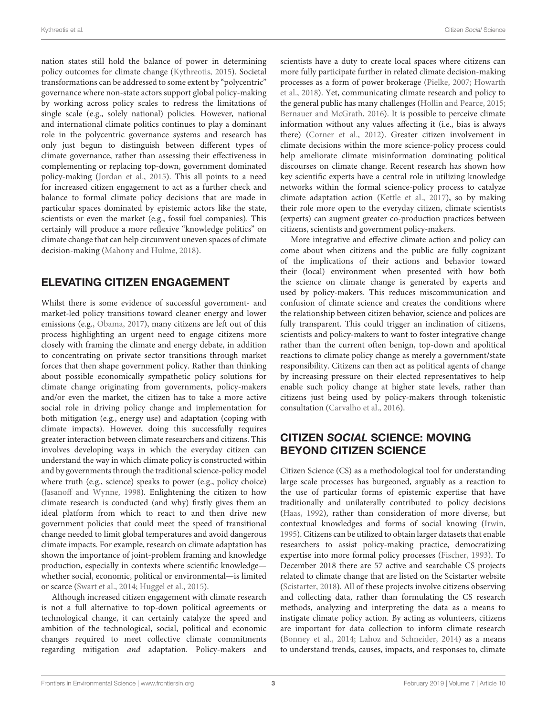nation states still hold the balance of power in determining policy outcomes for climate change [\(Kythreotis, 2015\)](#page-10-13). Societal transformations can be addressed to some extent by "polycentric" governance where non-state actors support global policy-making by working across policy scales to redress the limitations of single scale (e.g., solely national) policies. However, national and international climate politics continues to play a dominant role in the polycentric governance systems and research has only just begun to distinguish between different types of climate governance, rather than assessing their effectiveness in complementing or replacing top-down, government dominated policy-making [\(Jordan et al., 2015\)](#page-10-14). This all points to a need for increased citizen engagement to act as a further check and balance to formal climate policy decisions that are made in particular spaces dominated by epistemic actors like the state, scientists or even the market (e.g., fossil fuel companies). This certainly will produce a more reflexive "knowledge politics" on climate change that can help circumvent uneven spaces of climate decision-making [\(Mahony and Hulme, 2018\)](#page-11-14).

# ELEVATING CITIZEN ENGAGEMENT

Whilst there is some evidence of successful government- and market-led policy transitions toward cleaner energy and lower emissions (e.g., [Obama, 2017\)](#page-11-15), many citizens are left out of this process highlighting an urgent need to engage citizens more closely with framing the climate and energy debate, in addition to concentrating on private sector transitions through market forces that then shape government policy. Rather than thinking about possible economically sympathetic policy solutions for climate change originating from governments, policy-makers and/or even the market, the citizen has to take a more active social role in driving policy change and implementation for both mitigation (e.g., energy use) and adaptation (coping with climate impacts). However, doing this successfully requires greater interaction between climate researchers and citizens. This involves developing ways in which the everyday citizen can understand the way in which climate policy is constructed within and by governments through the traditional science-policy model where truth (e.g., science) speaks to power (e.g., policy choice) [\(Jasanoff and Wynne, 1998\)](#page-10-15). Enlightening the citizen to how climate research is conducted (and why) firstly gives them an ideal platform from which to react to and then drive new government policies that could meet the speed of transitional change needed to limit global temperatures and avoid dangerous climate impacts. For example, research on climate adaptation has shown the importance of joint-problem framing and knowledge production, especially in contexts where scientific knowledge whether social, economic, political or environmental—is limited or scarce [\(Swart et al., 2014;](#page-11-1) [Huggel et al., 2015\)](#page-10-16).

Although increased citizen engagement with climate research is not a full alternative to top-down political agreements or technological change, it can certainly catalyze the speed and ambition of the technological, social, political and economic changes required to meet collective climate commitments regarding mitigation and adaptation. Policy-makers and scientists have a duty to create local spaces where citizens can more fully participate further in related climate decision-making processes as a form of power brokerage [\(Pielke, 2007;](#page-11-16) Howarth et al., [2018\)](#page-10-10). Yet, communicating climate research and policy to the general public has many challenges [\(Hollin and Pearce, 2015;](#page-10-17) [Bernauer and McGrath, 2016\)](#page-9-5). It is possible to perceive climate information without any values affecting it (i.e., bias is always there) [\(Corner et al., 2012\)](#page-9-6). Greater citizen involvement in climate decisions within the more science-policy process could help ameliorate climate misinformation dominating political discourses on climate change. Recent research has shown how key scientific experts have a central role in utilizing knowledge networks within the formal science-policy process to catalyze climate adaptation action [\(Kettle et al., 2017\)](#page-10-18), so by making their role more open to the everyday citizen, climate scientists (experts) can augment greater co-production practices between citizens, scientists and government policy-makers.

More integrative and effective climate action and policy can come about when citizens and the public are fully cognizant of the implications of their actions and behavior toward their (local) environment when presented with how both the science on climate change is generated by experts and used by policy-makers. This reduces miscommunication and confusion of climate science and creates the conditions where the relationship between citizen behavior, science and polices are fully transparent. This could trigger an inclination of citizens, scientists and policy-makers to want to foster integrative change rather than the current often benign, top-down and apolitical reactions to climate policy change as merely a government/state responsibility. Citizens can then act as political agents of change by increasing pressure on their elected representatives to help enable such policy change at higher state levels, rather than citizens just being used by policy-makers through tokenistic consultation [\(Carvalho et al., 2016\)](#page-9-7).

# CITIZEN SOCIAL SCIENCE: MOVING BEYOND CITIZEN SCIENCE

Citizen Science (CS) as a methodological tool for understanding large scale processes has burgeoned, arguably as a reaction to the use of particular forms of epistemic expertise that have traditionally and unilaterally contributed to policy decisions [\(Haas, 1992\)](#page-10-19), rather than consideration of more diverse, but contextual knowledges and forms of social knowing [\(Irwin,](#page-10-20) [1995\)](#page-10-20). Citizens can be utilized to obtain larger datasets that enable researchers to assist policy-making practice, democratizing expertise into more formal policy processes [\(Fischer, 1993\)](#page-10-21). To December 2018 there are 57 active and searchable CS projects related to climate change that are listed on the Scistarter website [\(Scistarter, 2018\)](#page-11-17). All of these projects involve citizens observing and collecting data, rather than formulating the CS research methods, analyzing and interpreting the data as a means to instigate climate policy action. By acting as volunteers, citizens are important for data collection to inform climate research [\(Bonney et al., 2014;](#page-9-8) [Lahoz and Schneider, 2014\)](#page-10-22) as a means to understand trends, causes, impacts, and responses to, climate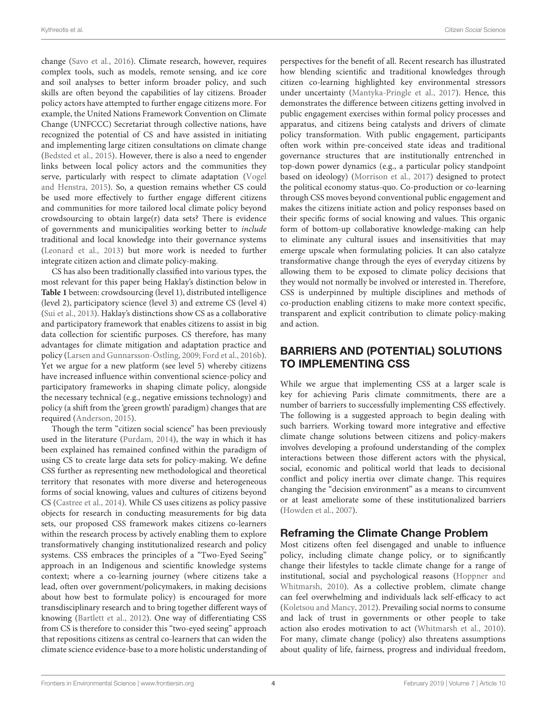change [\(Savo et al., 2016\)](#page-11-18). Climate research, however, requires complex tools, such as models, remote sensing, and ice core and soil analyses to better inform broader policy, and such skills are often beyond the capabilities of lay citizens. Broader policy actors have attempted to further engage citizens more. For example, the United Nations Framework Convention on Climate Change (UNFCCC) Secretariat through collective nations, have recognized the potential of CS and have assisted in initiating and implementing large citizen consultations on climate change [\(Bedsted et al., 2015\)](#page-9-9). However, there is also a need to engender links between local policy actors and the communities they serve, particularly with respect to climate adaptation (Vogel and Henstra, [2015\)](#page-11-19). So, a question remains whether CS could be used more effectively to further engage different citizens and communities for more tailored local climate policy beyond crowdsourcing to obtain large(r) data sets? There is evidence of governments and municipalities working better to include traditional and local knowledge into their governance systems [\(Leonard et al., 2013\)](#page-11-20) but more work is needed to further integrate citizen action and climate policy-making.

CS has also been traditionally classified into various types, the most relevant for this paper being Haklay's distinction below in **[Table 1](#page-6-0)** between: crowdsourcing (level 1), distributed intelligence (level 2), participatory science (level 3) and extreme CS (level 4) [\(Sui et al., 2013\)](#page-11-21). Haklay's distinctions show CS as a collaborative and participatory framework that enables citizens to assist in big data collection for scientific purposes. CS therefore, has many advantages for climate mitigation and adaptation practice and policy [\(Larsen and Gunnarsson-Östling, 2009;](#page-10-23) [Ford et al., 2016b\)](#page-10-24). Yet we argue for a new platform (see level 5) whereby citizens have increased influence within conventional science-policy and participatory frameworks in shaping climate policy, alongside the necessary technical (e.g., negative emissions technology) and policy (a shift from the 'green growth' paradigm) changes that are required [\(Anderson, 2015\)](#page-9-10).

Though the term "citizen social science" has been previously used in the literature [\(Purdam, 2014\)](#page-11-22), the way in which it has been explained has remained confined within the paradigm of using CS to create large data sets for policy-making. We define CSS further as representing new methodological and theoretical territory that resonates with more diverse and heterogeneous forms of social knowing, values and cultures of citizens beyond CS [\(Castree et al., 2014\)](#page-9-11). While CS uses citizens as policy passive objects for research in conducting measurements for big data sets, our proposed CSS framework makes citizens co-learners within the research process by actively enabling them to explore transformatively changing institutionalized research and policy systems. CSS embraces the principles of a "Two-Eyed Seeing" approach in an Indigenous and scientific knowledge systems context; where a co-learning journey (where citizens take a lead, often over government/policymakers, in making decisions about how best to formulate policy) is encouraged for more transdisciplinary research and to bring together different ways of knowing [\(Bartlett et al., 2012\)](#page-9-12). One way of differentiating CSS from CS is therefore to consider this "two-eyed seeing" approach that repositions citizens as central co-learners that can widen the climate science evidence-base to a more holistic understanding of perspectives for the benefit of all. Recent research has illustrated how blending scientific and traditional knowledges through citizen co-learning highlighted key environmental stressors under uncertainty [\(Mantyka-Pringle et al., 2017\)](#page-11-23). Hence, this demonstrates the difference between citizens getting involved in public engagement exercises within formal policy processes and apparatus, and citizens being catalysts and drivers of climate policy transformation. With public engagement, participants often work within pre-conceived state ideas and traditional governance structures that are institutionally entrenched in top-down power dynamics (e.g., a particular policy standpoint based on ideology) [\(Morrison et al., 2017\)](#page-11-24) designed to protect the political economy status-quo. Co-production or co-learning through CSS moves beyond conventional public engagement and makes the citizens initiate action and policy responses based on their specific forms of social knowing and values. This organic form of bottom-up collaborative knowledge-making can help to eliminate any cultural issues and insensitivities that may emerge upscale when formulating policies. It can also catalyze transformative change through the eyes of everyday citizens by allowing them to be exposed to climate policy decisions that they would not normally be involved or interested in. Therefore, CSS is underpinned by multiple disciplines and methods of co-production enabling citizens to make more context specific, transparent and explicit contribution to climate policy-making and action.

# BARRIERS AND (POTENTIAL) SOLUTIONS TO IMPLEMENTING CSS

While we argue that implementing CSS at a larger scale is key for achieving Paris climate commitments, there are a number of barriers to successfully implementing CSS effectively. The following is a suggested approach to begin dealing with such barriers. Working toward more integrative and effective climate change solutions between citizens and policy-makers involves developing a profound understanding of the complex interactions between those different actors with the physical, social, economic and political world that leads to decisional conflict and policy inertia over climate change. This requires changing the "decision environment" as a means to circumvent or at least ameliorate some of these institutionalized barriers [\(Howden et al., 2007\)](#page-10-25).

## Reframing the Climate Change Problem

Most citizens often feel disengaged and unable to influence policy, including climate change policy, or to significantly change their lifestyles to tackle climate change for a range of institutional, social and psychological reasons (Hoppner and Whitmarsh, [2010\)](#page-10-26). As a collective problem, climate change can feel overwhelming and individuals lack self-efficacy to act [\(Koletsou and Mancy, 2012\)](#page-10-27). Prevailing social norms to consume and lack of trust in governments or other people to take action also erodes motivation to act [\(Whitmarsh et al., 2010\)](#page-11-25). For many, climate change (policy) also threatens assumptions about quality of life, fairness, progress and individual freedom,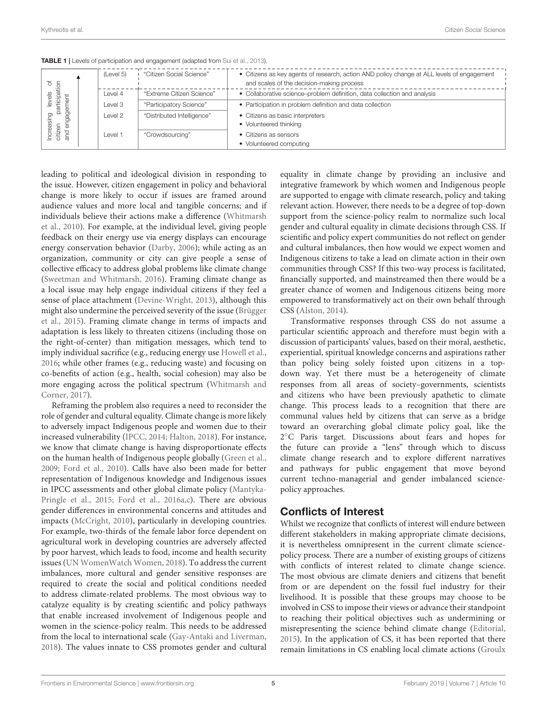| els of<br><i>ipation</i><br>els<br>ত<br>≑<br>igager<br>eas<br>citizen<br>ক্র<br>₫<br>ਨੋ |  | (Level 5) | "Citizen Social Science"   | • Citizens as key agents of research, action AND policy change at ALL levels of engagement<br>and scales of the decision-making process |
|-----------------------------------------------------------------------------------------|--|-----------|----------------------------|-----------------------------------------------------------------------------------------------------------------------------------------|
|                                                                                         |  | Level 4   | "Extreme Citizen Science"  | • Collaborative science-problem definition, data collection and analysis                                                                |
|                                                                                         |  | Level 3   | "Participatory Science"    | • Participation in problem definition and data collection                                                                               |
|                                                                                         |  | Level 2   | "Distributed Intelligence" | • Citizens as basic interpreters                                                                                                        |
|                                                                                         |  |           |                            | • Volunteered thinking                                                                                                                  |
|                                                                                         |  | Level 1   | "Crowdsourcing"            | • Citizens as sensors                                                                                                                   |
|                                                                                         |  |           |                            | • Volunteered computing                                                                                                                 |

<span id="page-6-0"></span>TABLE 1 | Levels of participation and engagement (adapted from [Sui et al., 2013\)](#page-11-21).

leading to political and ideological division in responding to the issue. However, citizen engagement in policy and behavioral change is more likely to occur if issues are framed around audience values and more local and tangible concerns; and if individuals believe their actions make a difference (Whitmarsh et al., [2010\)](#page-11-25). For example, at the individual level, giving people feedback on their energy use via energy displays can encourage energy conservation behavior [\(Darby, 2006\)](#page-9-13); while acting as an organization, community or city can give people a sense of collective efficacy to address global problems like climate change [\(Sweetman and Whitmarsh, 2016\)](#page-11-26). Framing climate change as a local issue may help engage individual citizens if they feel a sense of place attachment [\(Devine-Wright, 2013\)](#page-9-14), although this might also undermine the perceived severity of the issue (Brügger et al., [2015\)](#page-9-15). Framing climate change in terms of impacts and adaptation is less likely to threaten citizens (including those on the right-of-center) than mitigation messages, which tend to imply individual sacrifice (e.g., reducing energy use [Howell et al.,](#page-10-28) [2016;](#page-10-28) while other frames (e.g., reducing waste) and focusing on co-benefits of action (e.g., health, social cohesion) may also be more engaging across the political spectrum (Whitmarsh and Corner, [2017\)](#page-11-27).

Reframing the problem also requires a need to reconsider the role of gender and cultural equality. Climate change is more likely to adversely impact Indigenous people and women due to their increased vulnerability [\(IPCC, 2014;](#page-10-29) [Halton, 2018\)](#page-10-30). For instance, we know that climate change is having disproportionate effects on the human health of Indigenous people globally [\(Green et al.,](#page-10-31) [2009;](#page-10-31) [Ford et al., 2010\)](#page-10-32). Calls have also been made for better representation of Indigenous knowledge and Indigenous issues in IPCC assessments and other global climate policy (Mantyka-Pringle et al., [2015;](#page-11-28) [Ford et al., 2016a](#page-10-33)[,c\)](#page-10-34). There are obvious gender differences in environmental concerns and attitudes and impacts [\(McCright, 2010\)](#page-11-29), particularly in developing countries. For example, two-thirds of the female labor force dependent on agricultural work in developing countries are adversely affected by poor harvest, which leads to food, income and health security issues [\(UN WomenWatch Women, 2018\)](#page-11-30). To address the current imbalances, more cultural and gender sensitive responses are required to create the social and political conditions needed to address climate-related problems. The most obvious way to catalyze equality is by creating scientific and policy pathways that enable increased involvement of Indigenous people and women in the science-policy realm. This needs to be addressed from the local to international scale [\(Gay-Antaki and Liverman,](#page-10-35) [2018\)](#page-10-35). The values innate to CSS promotes gender and cultural equality in climate change by providing an inclusive and integrative framework by which women and Indigenous people are supported to engage with climate research, policy and taking relevant action. However, there needs to be a degree of top-down support from the science-policy realm to normalize such local gender and cultural equality in climate decisions through CSS. If scientific and policy expert communities do not reflect on gender and cultural imbalances, then how would we expect women and Indigenous citizens to take a lead on climate action in their own communities through CSS? If this two-way process is facilitated, financially supported, and mainstreamed then there would be a greater chance of women and Indigenous citizens being more empowered to transformatively act on their own behalf through CSS [\(Alston, 2014\)](#page-9-16).

Transformative responses through CSS do not assume a particular scientific approach and therefore must begin with a discussion of participants' values, based on their moral, aesthetic, experiential, spiritual knowledge concerns and aspirations rather than policy being solely foisted upon citizens in a topdown way. Yet there must be a heterogeneity of climate responses from all areas of society–governments, scientists and citizens who have been previously apathetic to climate change. This process leads to a recognition that there are communal values held by citizens that can serve as a bridge toward an overarching global climate policy goal, like the 2 ◦C Paris target. Discussions about fears and hopes for the future can provide a "lens" through which to discuss climate change research and to explore different narratives and pathways for public engagement that move beyond current techno-managerial and gender imbalanced sciencepolicy approaches.

## Conflicts of Interest

Whilst we recognize that conflicts of interest will endure between different stakeholders in making appropriate climate decisions, it is nevertheless omnipresent in the current climate sciencepolicy process. There are a number of existing groups of citizens with conflicts of interest related to climate change science. The most obvious are climate deniers and citizens that benefit from or are dependent on the fossil fuel industry for their livelihood. It is possible that these groups may choose to be involved in CSS to impose their views or advance their standpoint to reaching their political objectives such as undermining or misrepresenting the science behind climate change [\(Editorial,](#page-10-36) [2015\)](#page-10-36). In the application of CS, it has been reported that there remain limitations in CS enabling local climate actions (Groulx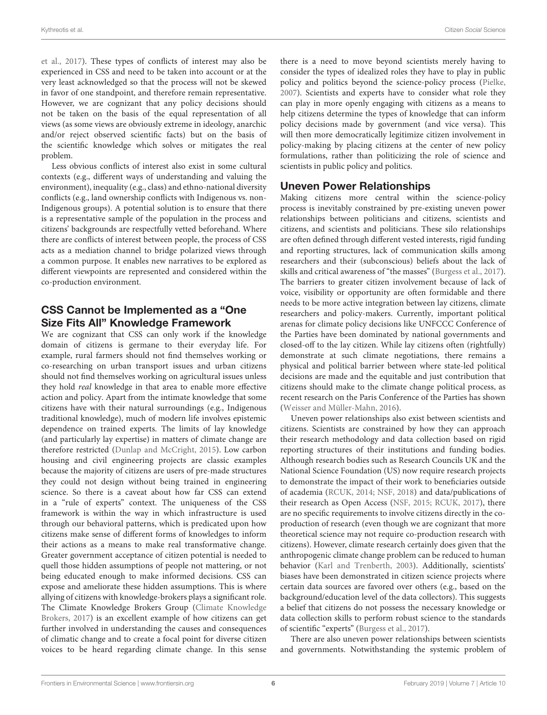et al., [2017\)](#page-10-3). These types of conflicts of interest may also be experienced in CSS and need to be taken into account or at the very least acknowledged so that the process will not be skewed in favor of one standpoint, and therefore remain representative. However, we are cognizant that any policy decisions should not be taken on the basis of the equal representation of all views (as some views are obviously extreme in ideology, anarchic and/or reject observed scientific facts) but on the basis of the scientific knowledge which solves or mitigates the real problem.

Less obvious conflicts of interest also exist in some cultural contexts (e.g., different ways of understanding and valuing the environment), inequality (e.g., class) and ethno-national diversity conflicts (e.g., land ownership conflicts with Indigenous vs. non-Indigenous groups). A potential solution is to ensure that there is a representative sample of the population in the process and citizens' backgrounds are respectfully vetted beforehand. Where there are conflicts of interest between people, the process of CSS acts as a mediation channel to bridge polarized views through a common purpose. It enables new narratives to be explored as different viewpoints are represented and considered within the co-production environment.

# CSS Cannot be Implemented as a "One Size Fits All" Knowledge Framework

We are cognizant that CSS can only work if the knowledge domain of citizens is germane to their everyday life. For example, rural farmers should not find themselves working or co-researching on urban transport issues and urban citizens should not find themselves working on agricultural issues unless they hold real knowledge in that area to enable more effective action and policy. Apart from the intimate knowledge that some citizens have with their natural surroundings (e.g., Indigenous traditional knowledge), much of modern life involves epistemic dependence on trained experts. The limits of lay knowledge (and particularly lay expertise) in matters of climate change are therefore restricted [\(Dunlap and McCright, 2015\)](#page-10-37). Low carbon housing and civil engineering projects are classic examples because the majority of citizens are users of pre-made structures they could not design without being trained in engineering science. So there is a caveat about how far CSS can extend in a "rule of experts" context. The uniqueness of the CSS framework is within the way in which infrastructure is used through our behavioral patterns, which is predicated upon how citizens make sense of different forms of knowledges to inform their actions as a means to make real transformative change. Greater government acceptance of citizen potential is needed to quell those hidden assumptions of people not mattering, or not being educated enough to make informed decisions. CSS can expose and ameliorate these hidden assumptions. This is where allying of citizens with knowledge-brokers plays a significant role. The Climate Knowledge Brokers Group (Climate Knowledge Brokers, [2017\)](#page-9-17) is an excellent example of how citizens can get further involved in understanding the causes and consequences of climatic change and to create a focal point for diverse citizen voices to be heard regarding climate change. In this sense there is a need to move beyond scientists merely having to consider the types of idealized roles they have to play in public policy and politics beyond the science-policy process [\(Pielke,](#page-11-16) [2007\)](#page-11-16). Scientists and experts have to consider what role they can play in more openly engaging with citizens as a means to help citizens determine the types of knowledge that can inform policy decisions made by government (and vice versa). This will then more democratically legitimize citizen involvement in policy-making by placing citizens at the center of new policy formulations, rather than politicizing the role of science and scientists in public policy and politics.

# Uneven Power Relationships

Making citizens more central within the science-policy process is inevitably constrained by pre-existing uneven power relationships between politicians and citizens, scientists and citizens, and scientists and politicians. These silo relationships are often defined through different vested interests, rigid funding and reporting structures, lack of communication skills among researchers and their (subconscious) beliefs about the lack of skills and critical awareness of "the masses" [\(Burgess et al., 2017\)](#page-9-18). The barriers to greater citizen involvement because of lack of voice, visibility or opportunity are often formidable and there needs to be more active integration between lay citizens, climate researchers and policy-makers. Currently, important political arenas for climate policy decisions like UNFCCC Conference of the Parties have been dominated by national governments and closed-off to the lay citizen. While lay citizens often (rightfully) demonstrate at such climate negotiations, there remains a physical and political barrier between where state-led political decisions are made and the equitable and just contribution that citizens should make to the climate change political process, as recent research on the Paris Conference of the Parties has shown [\(Weisser and Müller-Mahn, 2016\)](#page-11-31).

Uneven power relationships also exist between scientists and citizens. Scientists are constrained by how they can approach their research methodology and data collection based on rigid reporting structures of their institutions and funding bodies. Although research bodies such as Research Councils UK and the National Science Foundation (US) now require research projects to demonstrate the impact of their work to beneficiaries outside of academia [\(RCUK, 2014;](#page-11-32) [NSF, 2018\)](#page-11-33) and data/publications of their research as Open Access [\(NSF, 2015;](#page-11-34) [RCUK, 2017\)](#page-11-35), there are no specific requirements to involve citizens directly in the coproduction of research (even though we are cognizant that more theoretical science may not require co-production research with citizens). However, climate research certainly does given that the anthropogenic climate change problem can be reduced to human behavior [\(Karl and Trenberth, 2003\)](#page-10-38). Additionally, scientists' biases have been demonstrated in citizen science projects where certain data sources are favored over others (e.g., based on the background/education level of the data collectors). This suggests a belief that citizens do not possess the necessary knowledge or data collection skills to perform robust science to the standards of scientific "experts" [\(Burgess et al., 2017\)](#page-9-18).

There are also uneven power relationships between scientists and governments. Notwithstanding the systemic problem of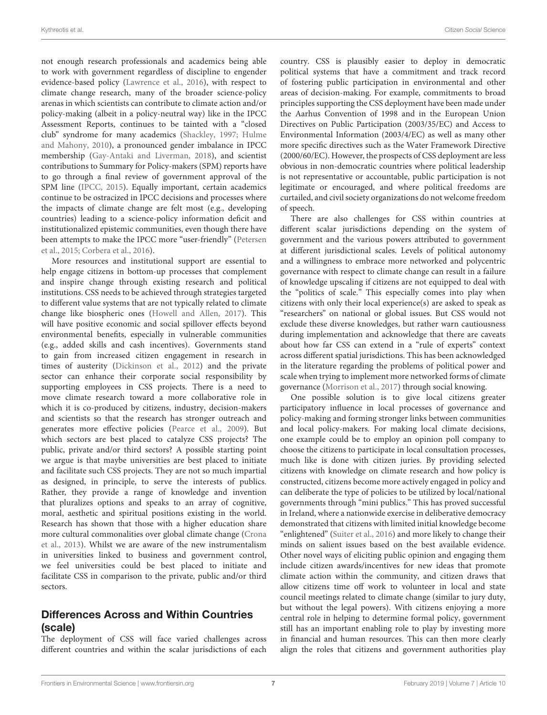not enough research professionals and academics being able to work with government regardless of discipline to engender evidence-based policy [\(Lawrence et al., 2016\)](#page-10-39), with respect to climate change research, many of the broader science-policy arenas in which scientists can contribute to climate action and/or policy-making (albeit in a policy-neutral way) like in the IPCC Assessment Reports, continues to be tainted with a "closed club" syndrome for many academics [\(Shackley, 1997;](#page-11-36) Hulme and Mahony, [2010\)](#page-10-40), a pronounced gender imbalance in IPCC membership [\(Gay-Antaki and Liverman, 2018\)](#page-10-35), and scientist contributions to Summary for Policy-makers (SPM) reports have to go through a final review of government approval of the SPM line [\(IPCC, 2015\)](#page-10-41). Equally important, certain academics continue to be ostracized in IPCC decisions and processes where the impacts of climate change are felt most (e.g., developing countries) leading to a science-policy information deficit and institutionalized epistemic communities, even though there have been attempts to make the IPCC more "user-friendly" (Petersen et al., [2015;](#page-11-37) [Corbera et al., 2016\)](#page-9-19).

More resources and institutional support are essential to help engage citizens in bottom-up processes that complement and inspire change through existing research and political institutions. CSS needs to be achieved through strategies targeted to different value systems that are not typically related to climate change like biospheric ones [\(Howell and Allen, 2017\)](#page-10-42). This will have positive economic and social spillover effects beyond environmental benefits, especially in vulnerable communities (e.g., added skills and cash incentives). Governments stand to gain from increased citizen engagement in research in times of austerity [\(Dickinson et al., 2012\)](#page-10-43) and the private sector can enhance their corporate social responsibility by supporting employees in CSS projects. There is a need to move climate research toward a more collaborative role in which it is co-produced by citizens, industry, decision-makers and scientists so that the research has stronger outreach and generates more effective policies [\(Pearce et al., 2009\)](#page-11-38). But which sectors are best placed to catalyze CSS projects? The public, private and/or third sectors? A possible starting point we argue is that maybe universities are best placed to initiate and facilitate such CSS projects. They are not so much impartial as designed, in principle, to serve the interests of publics. Rather, they provide a range of knowledge and invention that pluralizes options and speaks to an array of cognitive, moral, aesthetic and spiritual positions existing in the world. Research has shown that those with a higher education share more cultural commonalities over global climate change (Crona et al., [2013\)](#page-9-20). Whilst we are aware of the new instrumentalism in universities linked to business and government control, we feel universities could be best placed to initiate and facilitate CSS in comparison to the private, public and/or third sectors.

# Differences Across and Within Countries (scale)

The deployment of CSS will face varied challenges across different countries and within the scalar jurisdictions of each

country. CSS is plausibly easier to deploy in democratic political systems that have a commitment and track record of fostering public participation in environmental and other areas of decision-making. For example, commitments to broad principles supporting the CSS deployment have been made under the Aarhus Convention of 1998 and in the European Union Directives on Public Participation (2003/35/EC) and Access to Environmental Information (2003/4/EC) as well as many other more specific directives such as the Water Framework Directive (2000/60/EC). However, the prospects of CSS deployment are less obvious in non-democratic countries where political leadership is not representative or accountable, public participation is not legitimate or encouraged, and where political freedoms are curtailed, and civil society organizations do not welcome freedom of speech.

There are also challenges for CSS within countries at different scalar jurisdictions depending on the system of government and the various powers attributed to government at different jurisdictional scales. Levels of political autonomy and a willingness to embrace more networked and polycentric governance with respect to climate change can result in a failure of knowledge upscaling if citizens are not equipped to deal with the "politics of scale." This especially comes into play when citizens with only their local experience(s) are asked to speak as "researchers" on national or global issues. But CSS would not exclude these diverse knowledges, but rather warn cautiousness during implementation and acknowledge that there are caveats about how far CSS can extend in a "rule of experts" context across different spatial jurisdictions. This has been acknowledged in the literature regarding the problems of political power and scale when trying to implement more networked forms of climate governance [\(Morrison et al., 2017\)](#page-11-24) through social knowing.

One possible solution is to give local citizens greater participatory influence in local processes of governance and policy-making and forming stronger links between communities and local policy-makers. For making local climate decisions, one example could be to employ an opinion poll company to choose the citizens to participate in local consultation processes, much like is done with citizen juries. By providing selected citizens with knowledge on climate research and how policy is constructed, citizens become more actively engaged in policy and can deliberate the type of policies to be utilized by local/national governments through "mini publics." This has proved successful in Ireland, where a nationwide exercise in deliberative democracy demonstrated that citizens with limited initial knowledge become "enlightened" [\(Suiter et al., 2016\)](#page-11-39) and more likely to change their minds on salient issues based on the best available evidence. Other novel ways of eliciting public opinion and engaging them include citizen awards/incentives for new ideas that promote climate action within the community, and citizen draws that allow citizens time off work to volunteer in local and state council meetings related to climate change (similar to jury duty, but without the legal powers). With citizens enjoying a more central role in helping to determine formal policy, government still has an important enabling role to play by investing more in financial and human resources. This can then more clearly align the roles that citizens and government authorities play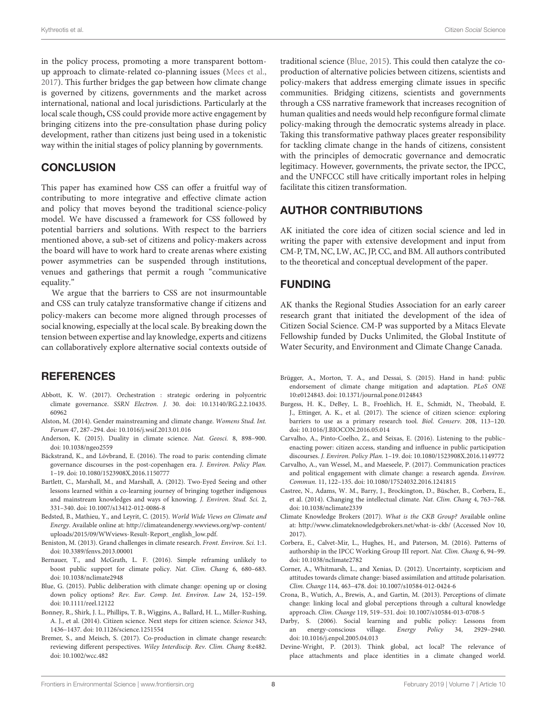in the policy process, promoting a more transparent bottomup approach to climate-related co-planning issues [\(Mees et al.,](#page-11-40) [2017\)](#page-11-40). This further bridges the gap between how climate change is governed by citizens, governments and the market across international, national and local jurisdictions. Particularly at the local scale though**,** CSS could provide more active engagement by bringing citizens into the pre-consultation phase during policy development, rather than citizens just being used in a tokenistic way within the initial stages of policy planning by governments.

#### **CONCLUSION**

This paper has examined how CSS can offer a fruitful way of contributing to more integrative and effective climate action and policy that moves beyond the traditional science-policy model. We have discussed a framework for CSS followed by potential barriers and solutions. With respect to the barriers mentioned above, a sub-set of citizens and policy-makers across the board will have to work hard to create arenas where existing power asymmetries can be suspended through institutions, venues and gatherings that permit a rough "communicative equality."

We argue that the barriers to CSS are not insurmountable and CSS can truly catalyze transformative change if citizens and policy-makers can become more aligned through processes of social knowing, especially at the local scale. By breaking down the tension between expertise and lay knowledge, experts and citizens can collaboratively explore alternative social contexts outside of

#### REFERENCES

- <span id="page-9-2"></span>Abbott, K. W. (2017). Orchestration : strategic ordering in polycentric climate governance. SSRN Electron. J. [30. doi: 10.13140/RG.2.2.10435.](https://doi.org/10.13140/RG.2.2.10435.60962) 60962
- <span id="page-9-16"></span>Alston, M. (2014). Gender mainstreaming and climate change. Womens Stud. Int. Forum 47, 287–294. doi: [10.1016/j.wsif.2013.01.016](https://doi.org/10.1016/j.wsif.2013.01.016)
- <span id="page-9-10"></span>Anderson, K. (2015). Duality in climate science. Nat. Geosci. 8, 898–900. doi: [10.1038/ngeo2559](https://doi.org/10.1038/ngeo2559)
- <span id="page-9-3"></span>Bäckstrand, K., and Lövbrand, E. (2016). The road to paris: contending climate governance discourses in the post-copenhagen era. J. Environ. Policy Plan. 1–19. doi: [10.1080/1523908X.2016.1150777](https://doi.org/10.1080/1523908X.2016.1150777)
- <span id="page-9-12"></span>Bartlett, C., Marshall, M., and Marshall, A. (2012). Two-Eyed Seeing and other lessons learned within a co-learning journey of bringing together indigenous and mainstream knowledges and ways of knowing. J. Environ. Stud. Sci. 2, 331–340. doi: [10.1007/s13412-012-0086-8](https://doi.org/10.1007/s13412-012-0086-8)
- <span id="page-9-9"></span>Bedsted, B., Mathieu, Y., and Leyrit, C. (2015). World Wide Views on Climate and Energy. Available online at: [http://climateandenergy.wwviews.org/wp-content/](http://climateandenergy.wwviews.org/wp-content/uploads/2015/09/WWviews-Result-Report_english_low.pdf) [uploads/2015/09/WWviews-Result-Report\\_english\\_low.pdf.](http://climateandenergy.wwviews.org/wp-content/uploads/2015/09/WWviews-Result-Report_english_low.pdf)
- <span id="page-9-0"></span>Beniston, M. (2013). Grand challenges in climate research. Front. Environ. Sci. 1:1. doi: [10.3389/fenvs.2013.00001](https://doi.org/10.3389/fenvs.2013.00001)
- <span id="page-9-5"></span>Bernauer, T., and McGrath, L. F. (2016). Simple reframing unlikely to boost public support for climate policy. Nat. Clim. Chang 6, 680–683. doi: [10.1038/nclimate2948](https://doi.org/10.1038/nclimate2948)
- <span id="page-9-21"></span>Blue, G. (2015). Public deliberation with climate change: opening up or closing down policy options? Rev. Eur. Comp. Int. Environ. Law 24, 152–159. doi: [10.1111/reel.12122](https://doi.org/10.1111/reel.12122)
- <span id="page-9-8"></span>Bonney, R., Shirk, J. L., Phillips, T. B., Wiggins, A., Ballard, H. L., Miller-Rushing, A. J., et al. (2014). Citizen science. Next steps for citizen science. Science 343, 1436–1437. doi: [10.1126/science.1251554](https://doi.org/10.1126/science.1251554)
- <span id="page-9-4"></span>Bremer, S., and Meisch, S. (2017). Co-production in climate change research: reviewing different perspectives. Wiley Interdiscip. Rev. Clim. Chang 8:e482. doi: [10.1002/wcc.482](https://doi.org/10.1002/wcc.482)

traditional science [\(Blue, 2015\)](#page-9-21). This could then catalyze the coproduction of alternative policies between citizens, scientists and policy-makers that address emerging climate issues in specific communities. Bridging citizens, scientists and governments through a CSS narrative framework that increases recognition of human qualities and needs would help reconfigure formal climate policy-making through the democratic systems already in place. Taking this transformative pathway places greater responsibility for tackling climate change in the hands of citizens, consistent with the principles of democratic governance and democratic legitimacy. However, governments, the private sector, the IPCC, and the UNFCCC still have critically important roles in helping facilitate this citizen transformation.

## AUTHOR CONTRIBUTIONS

AK initiated the core idea of citizen social science and led in writing the paper with extensive development and input from CM-P, TM, NC, LW, AC, JP, CC, and BM. All authors contributed to the theoretical and conceptual development of the paper.

## FUNDING

AK thanks the Regional Studies Association for an early career research grant that initiated the development of the idea of Citizen Social Science. CM-P was supported by a Mitacs Elevate Fellowship funded by Ducks Unlimited, the Global Institute of Water Security, and Environment and Climate Change Canada.

- <span id="page-9-15"></span>Brügger, A., Morton, T. A., and Dessai, S. (2015). Hand in hand: public endorsement of climate change mitigation and adaptation. PLoS ONE 10:e0124843. doi: [10.1371/journal.pone.0124843](https://doi.org/10.1371/journal.pone.0124843)
- <span id="page-9-18"></span>Burgess, H. K., DeBey, L. B., Froehlich, H. E., Schmidt, N., Theobald, E. J., Ettinger, A. K., et al. (2017). The science of citizen science: exploring barriers to use as a primary research tool. Biol. Conserv. 208, 113–120. doi: [10.1016/J.BIOCON.2016.05.014](https://doi.org/10.1016/J.BIOCON.2016.05.014)
- <span id="page-9-7"></span>Carvalho, A., Pinto-Coelho, Z., and Seixas, E. (2016). Listening to the public– enacting power: citizen access, standing and influence in public participation discourses. J. Environ. Policy Plan. 1–19. doi: [10.1080/1523908X.2016.1149772](https://doi.org/10.1080/1523908X.2016.1149772)
- <span id="page-9-1"></span>Carvalho, A., van Wessel, M., and Maeseele, P. (2017). Communication practices and political engagement with climate change: a research agenda. Environ. Commun. 11, 122–135. doi: [10.1080/17524032.2016.1241815](https://doi.org/10.1080/17524032.2016.1241815)
- <span id="page-9-11"></span>Castree, N., Adams, W. M., Barry, J., Brockington, D., Büscher, B., Corbera, E., et al. (2014). Changing the intellectual climate. Nat. Clim. Chang 4, 763–768. doi: [10.1038/nclimate2339](https://doi.org/10.1038/nclimate2339)
- <span id="page-9-17"></span>Climate Knowledge Brokers (2017). What is the CKB Group? Available online at:<http://www.climateknowledgebrokers.net/what-is-ckb/> (Accessed Nov 10, 2017).
- <span id="page-9-19"></span>Corbera, E., Calvet-Mir, L., Hughes, H., and Paterson, M. (2016). Patterns of authorship in the IPCC Working Group III report. Nat. Clim. Chang 6, 94–99. doi: [10.1038/nclimate2782](https://doi.org/10.1038/nclimate2782)
- <span id="page-9-6"></span>Corner, A., Whitmarsh, L., and Xenias, D. (2012). Uncertainty, scepticism and attitudes towards climate change: biased assimilation and attitude polarisation. Clim. Change 114, 463–478. doi: [10.1007/s10584-012-0424-6](https://doi.org/10.1007/s10584-012-0424-6)
- <span id="page-9-20"></span>Crona, B., Wutich, A., Brewis, A., and Gartin, M. (2013). Perceptions of climate change: linking local and global perceptions through a cultural knowledge approach. Clim. Change 119, 519–531. doi: [10.1007/s10584-013-0708-5](https://doi.org/10.1007/s10584-013-0708-5)
- <span id="page-9-13"></span>Darby, S. (2006). Social learning and public policy: Lessons from an energy-conscious village. Energy Policy 34, 2929–2940. doi: [10.1016/j.enpol.2005.04.013](https://doi.org/10.1016/j.enpol.2005.04.013)
- <span id="page-9-14"></span>Devine-Wright, P. (2013). Think global, act local? The relevance of place attachments and place identities in a climate changed world.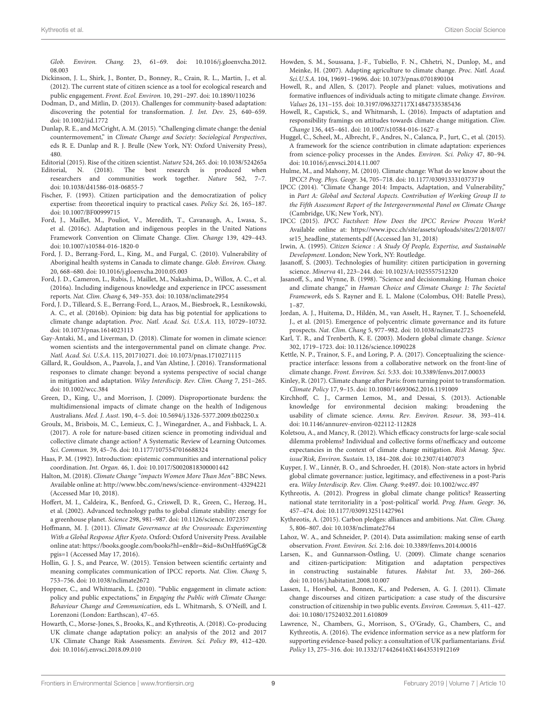Glob. Environ. Chang. [23, 61–69. doi: 10.1016/j.gloenvcha.2012.](https://doi.org/10.1016/j.gloenvcha.2012.08.003) 08.003

- <span id="page-10-43"></span>Dickinson, J. L., Shirk, J., Bonter, D., Bonney, R., Crain, R. L., Martin, J., et al. (2012). The current state of citizen science as a tool for ecological research and public engagement. Front. Ecol. Environ. 10, 291–297. doi: [10.1890/110236](https://doi.org/10.1890/110236)
- <span id="page-10-12"></span>Dodman, D., and Mitlin, D. (2013). Challenges for community-based adaptation: discovering the potential for transformation. J. Int. Dev. 25, 640–659. doi: [10.1002/jid.1772](https://doi.org/10.1002/jid.1772)
- <span id="page-10-37"></span>Dunlap, R. E., and McCright, A. M. (2015). "Challenging climate change: the denial countermovement," in Climate Change and Society: Sociological Perspectives, eds R. E. Dunlap and R. J. Brulle (New York, NY: Oxford University Press), 480.
- <span id="page-10-36"></span>Editorial (2015). Rise of the citizen scientist. Nature 524, 265. doi: [10.1038/524265a](https://doi.org/10.1038/524265a)
- <span id="page-10-9"></span>Editorial, N. (2018). The best research is produced when researchers and communities work together. Nature 562, 7–7. doi: [10.1038/d41586-018-06855-7](https://doi.org/10.1038/d41586-018-06855-7)
- <span id="page-10-21"></span>Fischer, F. (1993). Citizen participation and the democratization of policy expertise: from theoretical inquiry to practical cases. Policy Sci. 26, 165–187. doi: [10.1007/BF00999715](https://doi.org/10.1007/BF00999715)
- <span id="page-10-34"></span>Ford, J., Maillet, M., Pouliot, V., Meredith, T., Cavanaugh, A., Lwasa, S., et al. (2016c). Adaptation and indigenous peoples in the United Nations Framework Convention on Climate Change. Clim. Change 139, 429–443. doi: [10.1007/s10584-016-1820-0](https://doi.org/10.1007/s10584-016-1820-0)
- <span id="page-10-32"></span>Ford, J. D., Berrang-Ford, L., King, M., and Furgal, C. (2010). Vulnerability of Aboriginal health systems in Canada to climate change. Glob. Environ. Chang. 20, 668–680. doi: [10.1016/j.gloenvcha.2010.05.003](https://doi.org/10.1016/j.gloenvcha.2010.05.003)
- <span id="page-10-33"></span>Ford, J. D., Cameron, L., Rubis, J., Maillet, M., Nakashima, D., Willox, A. C., et al. (2016a). Including indigenous knowledge and experience in IPCC assessment reports. Nat. Clim. Chang 6, 349–353. doi: [10.1038/nclimate2954](https://doi.org/10.1038/nclimate2954)
- <span id="page-10-24"></span>Ford, J. D., Tilleard, S. E., Berrang-Ford, L., Araos, M., Biesbroek, R., Lesnikowski, A. C., et al. (2016b). Opinion: big data has big potential for applications to climate change adaptation. Proc. Natl. Acad. Sci. U.S.A. 113, 10729–10732. doi: [10.1073/pnas.1614023113](https://doi.org/10.1073/pnas.1614023113)
- <span id="page-10-35"></span>Gay-Antaki, M., and Liverman, D. (2018). Climate for women in climate science: women scientists and the intergovernmental panel on climate change. Proc. Natl. Acad. Sci. U.S.A. 115, 201710271. doi: [10.1073/pnas.1710271115](https://doi.org/10.1073/pnas.1710271115)
- <span id="page-10-11"></span>Gillard, R., Gouldson, A., Paavola, J., and Van Alstine, J. (2016). Transformational responses to climate change: beyond a systems perspective of social change in mitigation and adaptation. Wiley Interdiscip. Rev. Clim. Chang 7, 251–265. doi: [10.1002/wcc.384](https://doi.org/10.1002/wcc.384)
- <span id="page-10-31"></span>Green, D., King, U., and Morrison, J. (2009). Disproportionate burdens: the multidimensional impacts of climate change on the health of Indigenous Australians. Med. J. Aust. 190, 4–5. doi: [10.5694/j.1326-5377.2009.tb02250.x](https://doi.org/10.5694/j.1326-5377.2009.tb02250.x)
- <span id="page-10-3"></span>Groulx, M., Brisbois, M. C., Lemieux, C. J., Winegardner, A., and Fishback, L. A. (2017). A role for nature-based citizen science in promoting individual and collective climate change action? A Systematic Review of Learning Outcomes. Sci. Commun. 39, 45–76. doi: [10.1177/1075547016688324](https://doi.org/10.1177/1075547016688324)
- <span id="page-10-19"></span>Haas, P. M. (1992). Introduction: epistemic communities and international policy coordination. Int. Organ. 46, 1. doi: [10.1017/S0020818300001442](https://doi.org/10.1017/S0020818300001442)
- <span id="page-10-30"></span>Halton, M. (2018). Climate Change "impacts Women More Than Men"-BBC News. Available online at:<http://www.bbc.com/news/science-environment-43294221> (Accessed Mar 10, 2018).
- <span id="page-10-6"></span>Hoffert, M. I., Caldeira, K., Benford, G., Criswell, D. R., Green, C., Herzog, H., et al. (2002). Advanced technology paths to global climate stability: energy for a greenhouse planet. Science 298, 981–987. doi: [10.1126/science.1072357](https://doi.org/10.1126/science.1072357)
- <span id="page-10-7"></span>Hoffmann, M. J. (2011). Climate Governance at the Crossroads: Experimenting With a Global Response After Kyoto. Oxford: Oxford University Press. Available online atat: [https://books.google.com/books?hl=en&lr=&id=8sOnHfu69GgC&](https://books.google.com/books?hl=en&lr=&id=8sOnHfu69GgC&pgis=1) [pgis=1](https://books.google.com/books?hl=en&lr=&id=8sOnHfu69GgC&pgis=1) (Accessed May 17, 2016).
- <span id="page-10-17"></span>Hollin, G. J. S., and Pearce, W. (2015). Tension between scientific certainty and meaning complicates communication of IPCC reports. Nat. Clim. Chang 5, 753–756. doi: [10.1038/nclimate2672](https://doi.org/10.1038/nclimate2672)
- <span id="page-10-26"></span>Hoppner, C., and Whitmarsh, L. (2010). "Public engagement in climate action: policy and public expectations," in Engaging the Public with Climate Change: Behaviour Change and Communication, eds L. Whitmarsh, S. O'Neill, and I. Lorenzoni (London: Earthscan), 47–65.
- <span id="page-10-10"></span>Howarth, C., Morse-Jones, S., Brooks, K., and Kythreotis, A. (2018). Co-producing UK climate change adaptation policy: an analysis of the 2012 and 2017 UK Climate Change Risk Assessments. Environ. Sci. Policy 89, 412–420. doi: [10.1016/j.envsci.2018.09.010](https://doi.org/10.1016/j.envsci.2018.09.010)
- <span id="page-10-25"></span>Howden, S. M., Soussana, J.-F., Tubiello, F. N., Chhetri, N., Dunlop, M., and Meinke, H. (2007). Adapting agriculture to climate change. Proc. Natl. Acad. Sci.U.S.A. 104, 19691–19696. doi: [10.1073/pnas.0701890104](https://doi.org/10.1073/pnas.0701890104)
- <span id="page-10-42"></span>Howell, R., and Allen, S. (2017). People and planet: values, motivations and formative influences of individuals acting to mitigate climate change. Environ. Values 26, 131–155. doi: [10.3197/096327117X14847335385436](https://doi.org/10.3197/096327117X14847335385436)
- <span id="page-10-28"></span>Howell, R., Capstick, S., and Whitmarsh, L. (2016). Impacts of adaptation and responsibility framings on attitudes towards climate change mitigation. Clim. Change 136, 445–461. doi: [10.1007/s10584-016-1627-z](https://doi.org/10.1007/s10584-016-1627-z)
- <span id="page-10-16"></span>Huggel, C., Scheel, M., Albrecht, F., Andres, N., Calanca, P., Jurt, C., et al. (2015). A framework for the science contribution in climate adaptation: experiences from science-policy processes in the Andes. Environ. Sci. Policy 47, 80–94. doi: [10.1016/j.envsci.2014.11.007](https://doi.org/10.1016/j.envsci.2014.11.007)
- <span id="page-10-40"></span>Hulme, M., and Mahony, M. (2010). Climate change: What do we know about the IPCC? Prog. Phys. Geogr. 34, 705–718. doi: [10.1177/0309133310373719](https://doi.org/10.1177/0309133310373719)
- <span id="page-10-29"></span>IPCC (2014). "Climate Change 2014: Impacts, Adaptation, and Vulnerability," in Part A: Global and Sectoral Aspects. Contribution of Working Group II to the Fifth Assessment Report of the Intergovernmental Panel on Climate Change (Cambridge, UK; New York, NY).
- <span id="page-10-41"></span>IPCC (2015). IPCC Factsheet: How Does the IPCC Review Process Work? Available online at: [https://www.ipcc.ch/site/assets/uploads/sites/2/2018/07/](https://www.ipcc.ch/site/assets/uploads/sites/2/2018/07/sr15_headline_statements.pdf) [sr15\\_headline\\_statements.pdf](https://www.ipcc.ch/site/assets/uploads/sites/2/2018/07/sr15_headline_statements.pdf) (Accessed Jan 31, 2018)
- <span id="page-10-20"></span>Irwin, A. (1995). Citizen Science : A Study Of People, Expertise, and Sustainable Development. London; New York, NY: Routledge.
- <span id="page-10-4"></span>Jasanoff, S. (2003). Technologies of humility: citizen participation in governing science. Minerva 41, 223–244. doi: [10.1023/A:1025557512320](https://doi.org/10.1023/A:1025557512320)
- <span id="page-10-15"></span>Jasanoff, S., and Wynne, B. (1998). "Science and decisionmaking. Human choice and climate change," in Human Choice and Climate Change 1: The Societal Framework, eds S. Rayner and E. L. Malone (Colombus, OH: Batelle Press), 1–87.
- <span id="page-10-14"></span>Jordan, A. J., Huitema, D., Hildén, M., van Asselt, H., Rayner, T. J., Schoenefeld, J., et al. (2015). Emergence of polycentric climate governance and its future prospects. Nat. Clim. Chang 5, 977–982. doi: [10.1038/nclimate2725](https://doi.org/10.1038/nclimate2725)
- <span id="page-10-38"></span>Karl, T. R., and Trenberth, K. E. (2003). Modern global climate change. Science 302, 1719–1723. doi: [10.1126/science.1090228](https://doi.org/10.1126/science.1090228)
- <span id="page-10-18"></span>Kettle, N. P., Trainor, S. F., and Loring, P. A. (2017). Conceptualizing the sciencepractice interface: lessons from a collaborative network on the front-line of climate change. Front. Environ. Sci. 5:33. doi: [10.3389/fenvs.2017.00033](https://doi.org/10.3389/fenvs.2017.00033)
- <span id="page-10-5"></span>Kinley, R. (2017). Climate change after Paris: from turning point to transformation. Climate Policy 17, 9–15. doi: [10.1080/14693062.2016.1191009](https://doi.org/10.1080/14693062.2016.1191009)
- <span id="page-10-8"></span>Kirchhoff, C. J., Carmen Lemos, M., and Dessai, S. (2013). Actionable knowledge for environmental decision making: broadening the usability of climate science. Annu. Rev. Environ. Resour. 38, 393–414. doi: [10.1146/annurev-environ-022112-112828](https://doi.org/10.1146/annurev-environ-022112-112828)
- <span id="page-10-27"></span>Koletsou, A., and Mancy, R. (2012). Which efficacy constructs for large-scale social dilemma problems? Individual and collective forms of/nefficacy and outcome expectancies in the context of climate change mitigation. Risk Manag. Spec. issue'Risk, Environ. Sustain. 13, 184–208. doi: [10.2307/41407073](https://doi.org/10.2307/41407073)
- <span id="page-10-1"></span>Kuyper, J. W., Linnér, B. O., and Schroeder, H. (2018). Non-state actors in hybrid global climate governance: justice, legitimacy, and effectiveness in a post-Paris era. Wiley Interdiscip. Rev. Clim. Chang. 9:e497. doi: [10.1002/wcc.497](https://doi.org/10.1002/wcc.497)
- <span id="page-10-2"></span>Kythreotis, A. (2012). Progress in global climate change politics? Reasserting national state territoriality in a 'post-political' world. Prog. Hum. Geogr. 36, 457–474. doi: [10.1177/0309132511427961](https://doi.org/10.1177/0309132511427961)
- <span id="page-10-13"></span>Kythreotis, A. (2015). Carbon pledges: alliances and ambitions. Nat. Clim. Chang. 5, 806–807. doi: [10.1038/nclimate2764](https://doi.org/10.1038/nclimate2764)
- <span id="page-10-22"></span>Lahoz, W. A., and Schneider, P. (2014). Data assimilation: making sense of earth observation. Front. Environ. Sci. 2:16. doi: [10.3389/fenvs.2014.00016](https://doi.org/10.3389/fenvs.2014.00016)
- <span id="page-10-23"></span>Larsen, K., and Gunnarsson-Östling, U. (2009). Climate change scenarios and citizen-participation: Mitigation and adaptation perspectives in constructing sustainable futures. Habitat Int. 33, 260–266. doi: [10.1016/j.habitatint.2008.10.007](https://doi.org/10.1016/j.habitatint.2008.10.007)
- <span id="page-10-0"></span>Lassen, I., Horsbøl, A., Bonnen, K., and Pedersen, A. G. J. (2011). Climate change discourses and citizen participation: a case study of the discursive construction of citizenship in two public events. Environ. Commun. 5, 411–427. doi: [10.1080/17524032.2011.610809](https://doi.org/10.1080/17524032.2011.610809)
- <span id="page-10-39"></span>Lawrence, N., Chambers, G., Morrison, S., O'Grady, G., Chambers, C., and Kythreotis, A. (2016). The evidence information service as a new platform for supporting evidence-based policy: a consultation of UK parliamentarians. Evid. Policy 13, 275–316. doi: [10.1332/174426416X14643531912169](https://doi.org/10.1332/174426416X14643531912169)